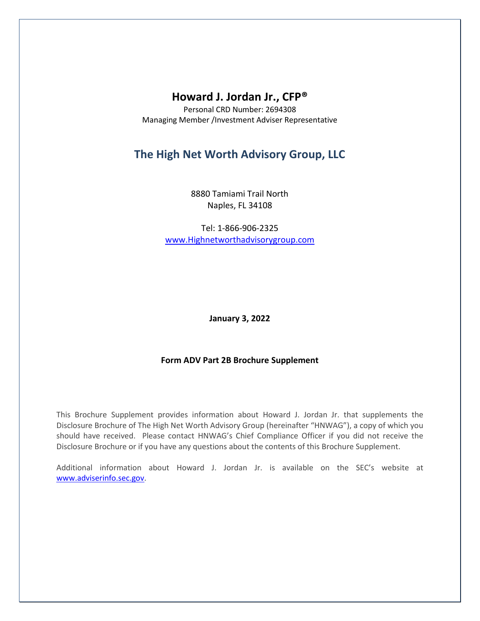# **Howard J. Jordan Jr., CFP®**

Personal CRD Number: 2694308 Managing Member /Investment Adviser Representative

# **The High Net Worth Advisory Group, LLC**

8880 Tamiami Trail North Naples, FL 34108

Tel: 1-866-906-2325 [www.Highnetworthadvisorygroup.com](http://www.highnetworthadvisorygroup.com/)

**January 3, 2022**

# **Form ADV Part 2B Brochure Supplement**

This Brochure Supplement provides information about Howard J. Jordan Jr. that supplements the Disclosure Brochure of The High Net Worth Advisory Group (hereinafter "HNWAG"), a copy of which you should have received. Please contact HNWAG's Chief Compliance Officer if you did not receive the Disclosure Brochure or if you have any questions about the contents of this Brochure Supplement.

Additional information about Howard J. Jordan Jr. is available on the SEC's website at [www.adviserinfo.sec.gov.](http://www.adviserinfo.sec.gov/)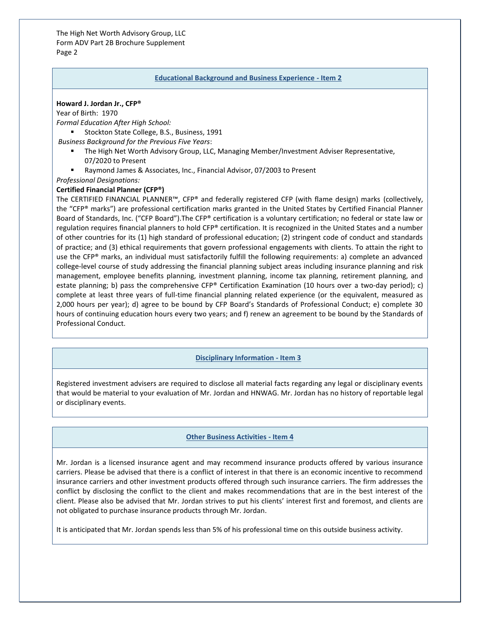The High Net Worth Advisory Group, LLC Form ADV Part 2B Brochure Supplement Page 2

#### **Educational Background and Business Experience - Item 2**

#### **Howard J. Jordan Jr., CFP®**

Year of Birth: 1970

*Formal Education After High School:*

■ Stockton State College, B.S., Business, 1991

*Business Background for the Previous Five Years*:

- The High Net Worth Advisory Group, LLC, Managing Member/Investment Adviser Representative, 07/2020 to Present
- Raymond James & Associates, Inc., Financial Advisor, 07/2003 to Present

# *Professional Designations:*

#### **Certified Financial Planner (CFP®)**

The CERTIFIED FINANCIAL PLANNER™, CFP® and federally registered CFP (with flame design) marks (collectively, the "CFP® marks") are professional certification marks granted in the United States by Certified Financial Planner Board of Standards, Inc. ("CFP Board").The CFP® certification is a voluntary certification; no federal or state law or regulation requires financial planners to hold CFP® certification. It is recognized in the United States and a number of other countries for its (1) high standard of professional education; (2) stringent code of conduct and standards of practice; and (3) ethical requirements that govern professional engagements with clients. To attain the right to use the CFP® marks, an individual must satisfactorily fulfill the following requirements: a) complete an advanced college-level course of study addressing the financial planning subject areas including insurance planning and risk management, employee benefits planning, investment planning, income tax planning, retirement planning, and estate planning; b) pass the comprehensive CFP® Certification Examination (10 hours over a two-day period); c) complete at least three years of full-time financial planning related experience (or the equivalent, measured as 2,000 hours per year); d) agree to be bound by CFP Board's Standards of Professional Conduct; e) complete 30 hours of continuing education hours every two years; and f) renew an agreement to be bound by the Standards of Professional Conduct.

# **Disciplinary Information - Item 3**

Registered investment advisers are required to disclose all material facts regarding any legal or disciplinary events that would be material to your evaluation of Mr. Jordan and HNWAG. Mr. Jordan has no history of reportable legal or disciplinary events.

# **Other Business Activities - Item 4**

Mr. Jordan is a licensed insurance agent and may recommend insurance products offered by various insurance carriers. Please be advised that there is a conflict of interest in that there is an economic incentive to recommend insurance carriers and other investment products offered through such insurance carriers. The firm addresses the conflict by disclosing the conflict to the client and makes recommendations that are in the best interest of the client. Please also be advised that Mr. Jordan strives to put his clients' interest first and foremost, and clients are not obligated to purchase insurance products through Mr. Jordan.

It is anticipated that Mr. Jordan spends less than 5% of his professional time on this outside business activity.